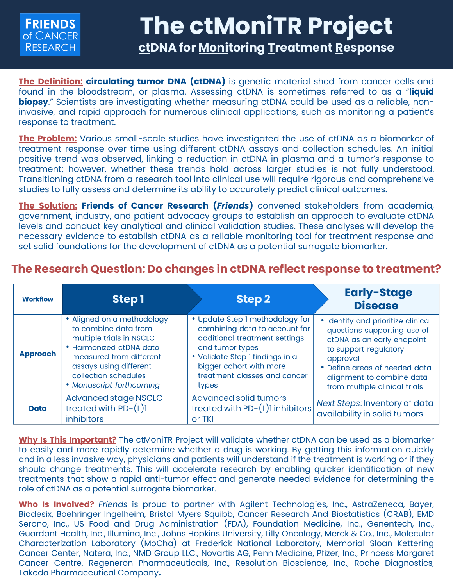

## **The ctMoniTR Project ctDNA for Monitoring Treatment Response**

**The Definition: circulating tumor DNA (ctDNA)** is genetic material shed from cancer cells and found in the bloodstream, or plasma. Assessing ctDNA is sometimes referred to as a "**liquid biopsy**." Scientists are investigating whether measuring ctDNA could be used as a reliable, noninvasive, and rapid approach for numerous clinical applications, such as monitoring a patient's response to treatment.

**The Problem:** Various small-scale studies have investigated the use of ctDNA as a biomarker of treatment response over time using different ctDNA assays and collection schedules. An initial positive trend was observed, linking a reduction in ctDNA in plasma and a tumor's response to treatment; however, whether these trends hold across larger studies is not fully understood. Transitioning ctDNA from a research tool into clinical use will require rigorous and comprehensive studies to fully assess and determine its ability to accurately predict clinical outcomes.

**The Solution: Friends of Cancer Research (***Friends***)** convened stakeholders from academia, government, industry, and patient advocacy groups to establish an approach to evaluate ctDNA levels and conduct key analytical and clinical validation studies. These analyses will develop the necessary evidence to establish ctDNA as a reliable monitoring tool for treatment response and set solid foundations for the development of ctDNA as a potential surrogate biomarker.

## **The Research Question: Do changes in ctDNA reflect response to treatment?**

| <b>Workflow</b> | Step 1                                                                                                                                                                                                             | Step 2                                                                                                                                                                                                                      | <b>Early-Stage</b><br><b>Disease</b>                                                                                                                                                                                                |
|-----------------|--------------------------------------------------------------------------------------------------------------------------------------------------------------------------------------------------------------------|-----------------------------------------------------------------------------------------------------------------------------------------------------------------------------------------------------------------------------|-------------------------------------------------------------------------------------------------------------------------------------------------------------------------------------------------------------------------------------|
| <b>Approach</b> | • Aligned on a methodology<br>to combine data from<br>multiple trials in NSCLC<br>• Harmonized ctDNA data<br>measured from different<br>assays using different<br>collection schedules<br>• Manuscript forthcoming | • Update Step I methodology for<br>combining data to account for<br>additional treatment settings<br>and tumor types<br>· Validate Step 1 findings in a<br>bigger cohort with more<br>treatment classes and cancer<br>types | • Identify and prioritize clinical<br>questions supporting use of<br>ctDNA as an early endpoint<br>to support regulatory<br>approval<br>• Define areas of needed data<br>alignment to combine data<br>from multiple clinical trials |
| <b>Data</b>     | <b>Advanced stage NSCLC</b><br>treated with $PD-(L)1$<br>inhibitors                                                                                                                                                | <b>Advanced solid tumors</b><br>treated with $PD-(L)1$ inhibitors<br>or TKI                                                                                                                                                 | Next Steps: Inventory of data<br>availability in solid tumors                                                                                                                                                                       |

**Why Is This Important?** The ctMoniTR Project will validate whether ctDNA can be used as a biomarker to easily and more rapidly determine whether a drug is working. By getting this information quickly and in a less invasive way, physicians and patients will understand if the treatment is working or if they should change treatments. This will accelerate research by enabling quicker identification of new treatments that show a rapid anti-tumor effect and generate needed evidence for determining the role of ctDNA as a potential surrogate biomarker.

**Who Is Involved?** *Friends* is proud to partner with Agilent Technologies, Inc., AstraZeneca, Bayer, Biodesix, Boehringer Ingelheim, Bristol Myers Squibb, Cancer Research And Biostatistics (CRAB), EMD Serono, Inc., US Food and Drug Administration (FDA), Foundation Medicine, Inc., Genentech, Inc., Guardant Health, Inc., Illumina, Inc., Johns Hopkins University, Lilly Oncology, Merck & Co., Inc., Molecular Characterization Laboratory (MoCha) at Frederick National Laboratory, Memorial Sloan Kettering Cancer Center, Natera, Inc., NMD Group LLC., Novartis AG, Penn Medicine, Pfizer, Inc., Princess Margaret Cancer Centre, Regeneron Pharmaceuticals, Inc., Resolution Bioscience, Inc., Roche Diagnostics, Takeda Pharmaceutical Company**.**